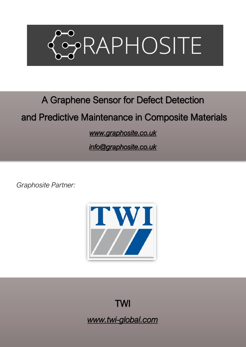

# A Graphene Sensor for Defect Detection

# and Predictive Maintenance in Composite Materials

*[www.graphosite.co.uk](http://www.graphosite.co.uk/)* 

*[info@graphosite.co.uk](mailto:info@graphosite.co.uk)* 

*Graphosite Partner:*



TWI *www.twi-global.com*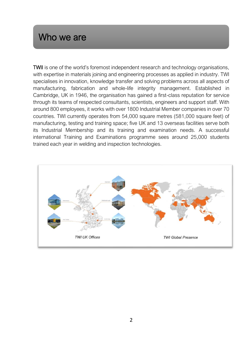#### Who we are

TWII is one of the world's foremost independent research and technology organisations, with expertise in materials joining and engineering processes as applied in industry. TWI specialises in innovation, knowledge transfer and solving problems across all aspects of manufacturing, fabrication and whole-life integrity management. Established in Cambridge, UK in 1946, the organisation has gained a first-class reputation for service through its teams of respected consultants, scientists, engineers and support staff. With around 800 employees, it works with over 1800 Industrial Member companies in over 70 countries. TWI currently operates from 54,000 square metres (581,000 square feet) of manufacturing, testing and training space; five UK and 13 overseas facilities serve both its Industrial Membership and its training and examination needs. A successful international Training and Examinations programme sees around 25,000 students trained each year in welding and inspection technologies.

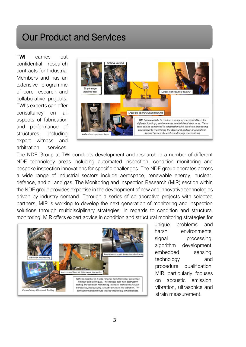### Our Product and Services

TWI carries out confidential research contracts for Industrial Members and has an extensive programme of core research and collaborative projects. TWI's experts can offer consultancy on all aspects of fabrication and performance of structures, including expert witness and arbitration services.



The NDE Group at TWI conducts development and research in a number of different NDE technology areas including automated inspection, condition monitoring and bespoke inspection innovations for specific challenges. The NDE group operates across a wide range of industrial sectors include aerospace, renewable energy, nuclear, defence, and oil and gas. The Monitoring and Inspection Research (MIR) section within the NDE group provides expertise in the development of new and innovative technologies driven by industry demand. Through a series of collaborative projects with selected partners, MIR is working to develop the next generation of monitoring and inspection solutions through multidisciplinary strategies. In regards to condition and structural monitoring, MIR offers expert advice in condition and structural monitoring strategies for



unique problems and harsh environments, signal processing, algorithm development, embedded sensing, technology and procedure qualification. MIR particularly focuses on acoustic emission, vibration, ultrasonics and strain measurement.